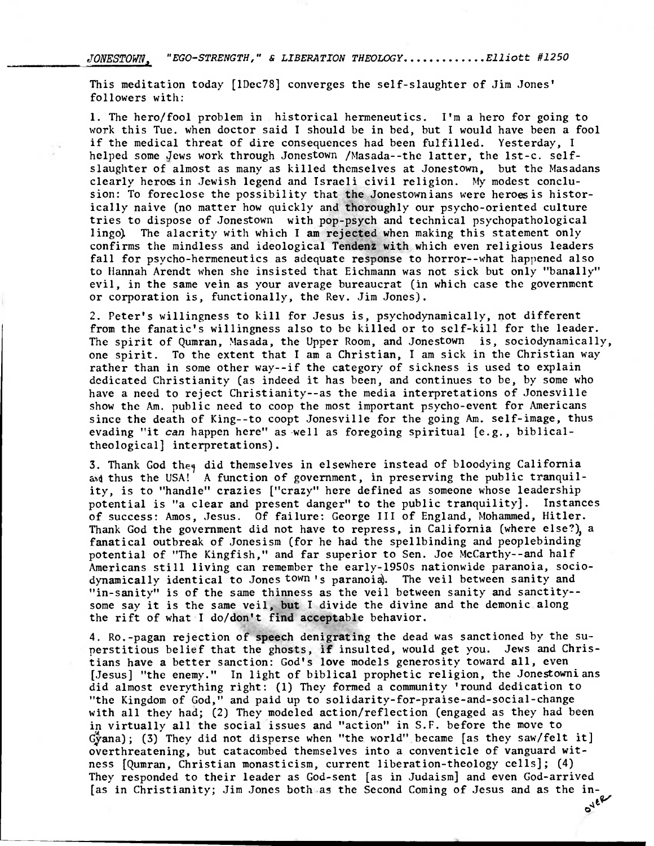JONESTOWN. "EGO-STRENGTH," & LIBERATION THEOLOGY.............Elliott #1250

This meditation today [1Dec78] converges the self-slaughter of Jim Jones' followers with:

1. The hero/fool problem in historical hermeneutics. I'm a hero for going to work this Tue. when doctor said I should be in bed, but I would have been a fool if the medical threat of dire consequences had been fulfilled. Yesterday, I helped some Jews work through Jonestown /Masada--the latter, the lst-c. selfslaughter of almost as many as killed themselves at Jonestown, but the Masadans clearly heroesin Jewish legend and Israeli civil religion. My modest conclusion: To foreclose the possibility that the Jonestownians were heroes is historically naive (no matter how quickly and thoroughly our psycho-oriented culture tries to dispose of Jonestown with pop-psych and technical psychopathological lingo). The alacrity with which I am rejected when making this statement only confirms the mindless and ideological **Tendenz** with which even religious leaders fall for psycho-hermeneutics as adequate response to horror--what happened also to Hannah Arendt when she insisted that Eichmann was not sick but only "banally" evil, in the same vein as your average bureaucrat (in which case the government or corporation is, functionally, the Rev. Jim Jones).

2. Peter's willingness to kill for Jesus is, psychodynamically, not different from the fanatic's willingness also to be killed or to self-kill for the leader. The spirit of Qumran, Masada, the Upper Room, and Jonestown is, sociodynamically, one spirit. To the extent that I am a Christian, I am sick in the Christian way rather than in some other way--if the category of sickness is used to explain dedicated Christianity (as indeed it has been, and continues to be, by some who have a need to reject Christianity--as the media interpretations of Jonesville show the Am. public need to coop the most important psycho-event for Americans since the death of King--to coopt Jonesville for the going Am. self-image, thus evading "it can happen here" as well as foregoing spiritual [e.g., biblicaltheological] interpretations).

3. Thank God they did themselves in elsewhere instead of bloodying California and thus the USA! A function of government, in preserving the public tranquility, is to "handle" crazies ["crazy" here defined as someone whose leadership potential is "a clear and present danger" to the public tranquility]. Instances of success: Amos, Jesus. Of failure: George III of England, Mohammed, Hitler. Thank God the government did not have to repress, in California (where else?), a fanatical outbreak of Jonesism (for he had the spellbinding and peoplebinding potential of "The Kingfish," and far superior to Sen. Joe McCarthy--and half Americans still living can remember the early-1950s nationwide paranoia, sociodynamically identical to Jones town's paranoia. The veil between sanity and "in-sanity" is of the same thinness as the veil between sanity and sanctity- some say it is the same veil, **but I** divide the divine and the demonic along the rift of what I **do/don't find acceptable behavior.** 

**4. Ro.-pagan rejection of speech denigrating the dead was sanctioned by the superstitious belief that the ghosts, if insulted, would get you. Jews and Christians have a better sanction: God's love models generosity toward all, even [Jesus] "the enemy." In light of biblical prophetic religion,** the Jonestownians did almost everything right: (1) They formed a community 'round dedication to "the Kingdom of God," and paid up to solidarity-for-praise-and-social-change with all they had; (2) They modeled action/reflection (engaged as they had been in virtually all the social issues and "action" in S.F. before the move to  $G$ <sup>\*</sup>yana); (3) They did not disperse when "the world" became [as they saw/felt it] overthreatening, but catacombed themselves into a conventicle of vanguard witness [Qumran, Christian monasticism, current liberation-theology cells]; (4) They responded to their leader as God-sent [as in Judaism] and even God-arrived [as in Christianity; Jim Jones both as the Second Coming of Jesus and as the in- **ONER**